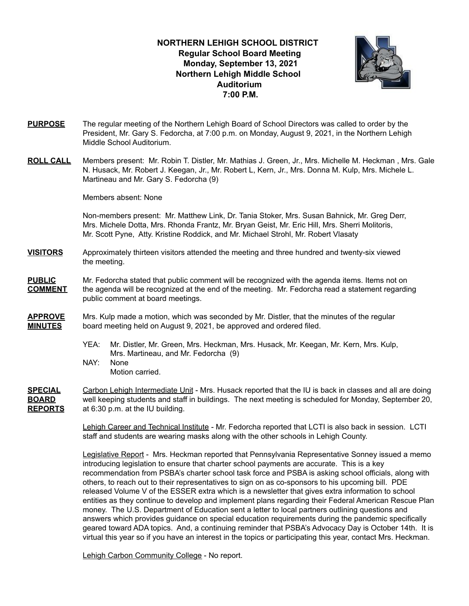### **NORTHERN LEHIGH SCHOOL DISTRICT Regular School Board Meeting Monday, September 13, 2021 Northern Lehigh Middle School Auditorium 7:00 P.M.**



- **PURPOSE** The regular meeting of the Northern Lehigh Board of School Directors was called to order by the President, Mr. Gary S. Fedorcha, at 7:00 p.m. on Monday, August 9, 2021, in the Northern Lehigh Middle School Auditorium.
- **ROLL CALL** Members present: Mr. Robin T. Distler, Mr. Mathias J. Green, Jr., Mrs. Michelle M. Heckman , Mrs. Gale N. Husack, Mr. Robert J. Keegan, Jr., Mr. Robert L, Kern, Jr., Mrs. Donna M. Kulp, Mrs. Michele L. Martineau and Mr. Gary S. Fedorcha (9)

Members absent: None

Non-members present: Mr. Matthew Link, Dr. Tania Stoker, Mrs. Susan Bahnick, Mr. Greg Derr, Mrs. Michele Dotta, Mrs. Rhonda Frantz, Mr. Bryan Geist, Mr. Eric Hill, Mrs. Sherri Molitoris, Mr. Scott Pyne, Atty. Kristine Roddick, and Mr. Michael Strohl, Mr. Robert Vlasaty

**VISITORS** Approximately thirteen visitors attended the meeting and three hundred and twenty-six viewed the meeting.

**PUBLIC** Mr. Fedorcha stated that public comment will be recognized with the agenda items. Items not on **COMMENT** the agenda will be recognized at the end of the meeting. Mr. Fedorcha read a statement regarding public comment at board meetings.

- **APPROVE** Mrs. Kulp made a motion, which was seconded by Mr. Distler, that the minutes of the regular **MINUTES** board meeting held on August 9, 2021, be approved and ordered filed.
	- YEA: Mr. Distler, Mr. Green, Mrs. Heckman, Mrs. Husack, Mr. Keegan, Mr. Kern, Mrs. Kulp, Mrs. Martineau, and Mr. Fedorcha (9)
	- NAY: None Motion carried.

**SPECIAL** Carbon Lehigh Intermediate Unit - Mrs. Husack reported that the IU is back in classes and all are doing **BOARD** well keeping students and staff in buildings. The next meeting is scheduled for Monday, September 20, **REPORTS** at 6:30 p.m. at the IU building.

> Lehigh Career and Technical Institute - Mr. Fedorcha reported that LCTI is also back in session. LCTI staff and students are wearing masks along with the other schools in Lehigh County.

Legislative Report - Mrs. Heckman reported that Pennsylvania Representative Sonney issued a memo introducing legislation to ensure that charter school payments are accurate. This is a key recommendation from PSBA's charter school task force and PSBA is asking school officials, along with others, to reach out to their representatives to sign on as co-sponsors to his upcoming bill. PDE released Volume V of the ESSER extra which is a newsletter that gives extra information to school entities as they continue to develop and implement plans regarding their Federal American Rescue Plan money. The U.S. Department of Education sent a letter to local partners outlining questions and answers which provides guidance on special education requirements during the pandemic specifically geared toward ADA topics. And, a continuing reminder that PSBA's Advocacy Day is October 14th. It is virtual this year so if you have an interest in the topics or participating this year, contact Mrs. Heckman.

Lehigh Carbon Community College - No report.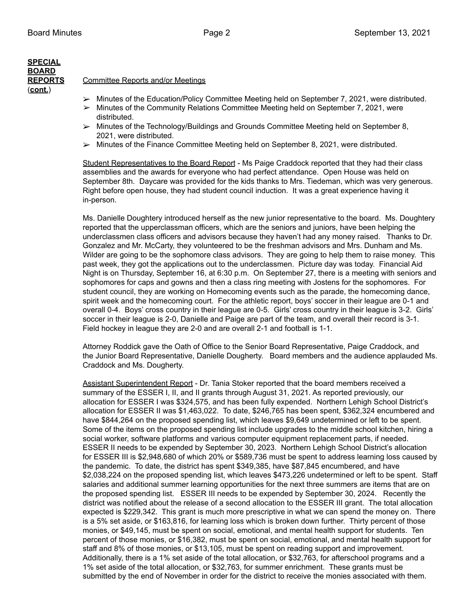## **SPECIAL BOARD** (**cont.**)

#### **REPORTS** Committee Reports and/or Meetings

- ➢ Minutes of the Education/Policy Committee Meeting held on September 7, 2021, were distributed.
- $\triangleright$  Minutes of the Community Relations Committee Meeting held on September 7, 2021, were distributed.
- ➢ Minutes of the Technology/Buildings and Grounds Committee Meeting held on September 8, 2021, were distributed.
- $\triangleright$  Minutes of the Finance Committee Meeting held on September 8, 2021, were distributed.

Student Representatives to the Board Report - Ms Paige Craddock reported that they had their class assemblies and the awards for everyone who had perfect attendance. Open House was held on September 8th. Daycare was provided for the kids thanks to Mrs. Tiedeman, which was very generous. Right before open house, they had student council induction. It was a great experience having it in-person.

Ms. Danielle Doughtery introduced herself as the new junior representative to the board. Ms. Doughtery reported that the upperclassman officers, which are the seniors and juniors, have been helping the underclassmen class officers and advisors because they haven't had any money raised. Thanks to Dr. Gonzalez and Mr. McCarty, they volunteered to be the freshman advisors and Mrs. Dunham and Ms. Wilder are going to be the sophomore class advisors. They are going to help them to raise money. This past week, they got the applications out to the underclassmen. Picture day was today. Financial Aid Night is on Thursday, September 16, at 6:30 p.m. On September 27, there is a meeting with seniors and sophomores for caps and gowns and then a class ring meeting with Jostens for the sophomores. For student council, they are working on Homecoming events such as the parade, the homecoming dance, spirit week and the homecoming court. For the athletic report, boys' soccer in their league are 0-1 and overall 0-4. Boys' cross country in their league are 0-5. Girls' cross country in their league is 3-2. Girls' soccer in their league is 2-0, Danielle and Paige are part of the team, and overall their record is 3-1. Field hockey in league they are 2-0 and are overall 2-1 and football is 1-1.

Attorney Roddick gave the Oath of Office to the Senior Board Representative, Paige Craddock, and the Junior Board Representative, Danielle Dougherty. Board members and the audience applauded Ms. Craddock and Ms. Dougherty.

Assistant Superintendent Report - Dr. Tania Stoker reported that the board members received a summary of the ESSER I, II, and II grants through August 31, 2021. As reported previously, our allocation for ESSER I was \$324,575, and has been fully expended. Northern Lehigh School District's allocation for ESSER II was \$1,463,022. To date, \$246,765 has been spent, \$362,324 encumbered and have \$844,264 on the proposed spending list, which leaves \$9,649 undetermined or left to be spent. Some of the items on the proposed spending list include upgrades to the middle school kitchen, hiring a social worker, software platforms and various computer equipment replacement parts, if needed. ESSER II needs to be expended by September 30, 2023. Northern Lehigh School District's allocation for ESSER III is \$2,948,680 of which 20% or \$589,736 must be spent to address learning loss caused by the pandemic. To date, the district has spent \$349,385, have \$87,845 encumbered, and have \$2,038,224 on the proposed spending list, which leaves \$473,226 undetermined or left to be spent. Staff salaries and additional summer learning opportunities for the next three summers are items that are on the proposed spending list. ESSER III needs to be expended by September 30, 2024. Recently the district was notified about the release of a second allocation to the ESSER III grant. The total allocation expected is \$229,342. This grant is much more prescriptive in what we can spend the money on. There is a 5% set aside, or \$163,816, for learning loss which is broken down further. Thirty percent of those monies, or \$49,145, must be spent on social, emotional, and mental health support for students. Ten percent of those monies, or \$16,382, must be spent on social, emotional, and mental health support for staff and 8% of those monies, or \$13,105, must be spent on reading support and improvement. Additionally, there is a 1% set aside of the total allocation, or \$32,763, for afterschool programs and a 1% set aside of the total allocation, or \$32,763, for summer enrichment. These grants must be submitted by the end of November in order for the district to receive the monies associated with them.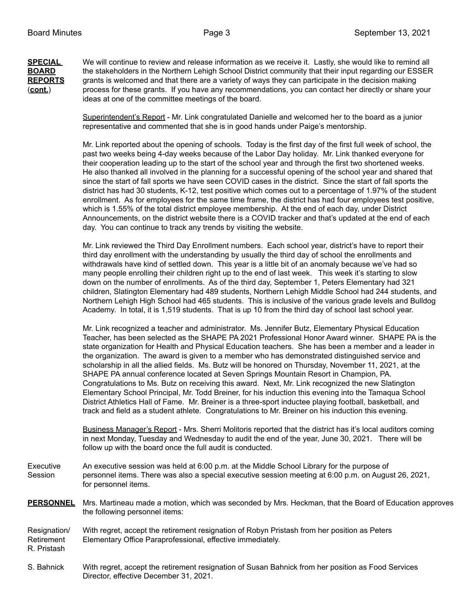**SPECIAL** We will continue to review and release information as we receive it. Lastly, she would like to remind all **BOARD** the stakeholders in the Northern Lehigh School District community that their input regarding our ESSER **REPORTS** grants is welcomed and that there are a variety of ways they can participate in the decision making (**cont.**) process for these grants. If you have any recommendations, you can contact her directly or share your ideas at one of the committee meetings of the board.

> Superintendent's Report - Mr. Link congratulated Danielle and welcomed her to the board as a junior representative and commented that she is in good hands under Paige's mentorship.

Mr. Link reported about the opening of schools. Today is the first day of the first full week of school, the past two weeks being 4-day weeks because of the Labor Day holiday. Mr. Link thanked everyone for their cooperation leading up to the start of the school year and through the first two shortened weeks. He also thanked all involved in the planning for a successful opening of the school year and shared that since the start of fall sports we have seen COVID cases in the district. Since the start of fall sports the district has had 30 students, K-12, test positive which comes out to a percentage of 1.97% of the student enrollment. As for employees for the same time frame, the district has had four employees test positive, which is 1.55% of the total district employee membership. At the end of each day, under District Announcements, on the district website there is a COVID tracker and that's updated at the end of each day. You can continue to track any trends by visiting the website.

Mr. Link reviewed the Third Day Enrollment numbers. Each school year, district's have to report their third day enrollment with the understanding by usually the third day of school the enrollments and withdrawals have kind of settled down. This year is a little bit of an anomaly because we've had so many people enrolling their children right up to the end of last week. This week it's starting to slow down on the number of enrollments. As of the third day, September 1, Peters Elementary had 321 children, Slatington Elementary had 489 students, Northern Lehigh Middle School had 244 students, and Northern Lehigh High School had 465 students. This is inclusive of the various grade levels and Bulldog Academy. In total, it is 1,519 students. That is up 10 from the third day of school last school year.

Mr. Link recognized a teacher and administrator. Ms. Jennifer Butz, Elementary Physical Education Teacher, has been selected as the SHAPE PA 2021 Professional Honor Award winner. SHAPE PA is the state organization for Health and Physical Education teachers. She has been a member and a leader in the organization. The award is given to a member who has demonstrated distinguished service and scholarship in all the allied fields. Ms. Butz will be honored on Thursday, November 11, 2021, at the SHAPE PA annual conference located at Seven Springs Mountain Resort in Champion, PA. Congratulations to Ms. Butz on receiving this award. Next, Mr. Link recognized the new Slatington Elementary School Principal, Mr. Todd Breiner, for his induction this evening into the Tamaqua School District Athletics Hall of Fame. Mr. Breiner is a three-sport inductee playing football, basketball, and track and field as a student athlete. Congratulations to Mr. Breiner on his induction this evening.

Business Manager's Report - Mrs. Sherri Molitoris reported that the district has it's local auditors coming in next Monday, Tuesday and Wednesday to audit the end of the year, June 30, 2021. There will be follow up with the board once the full audit is conducted.

Executive An executive session was held at 6:00 p.m. at the Middle School Library for the purpose of Session personnel items. There was also a special executive session meeting at 6:00 p.m. on August 26, 2021, for personnel items.

**PERSONNEL** Mrs. Martineau made a motion, which was seconded by Mrs. Heckman, that the Board of Education approves the following personnel items:

- Resignation/ With regret, accept the retirement resignation of Robyn Pristash from her position as Peters Retirement Elementary Office Paraprofessional, effective immediately.
- R. Pristash
- S. Bahnick With regret, accept the retirement resignation of Susan Bahnick from her position as Food Services Director, effective December 31, 2021.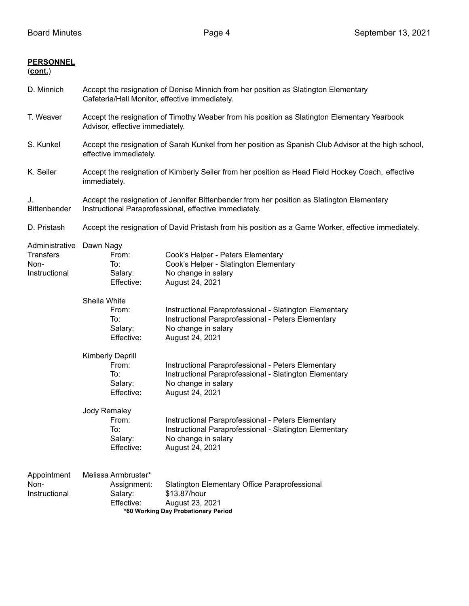### **PERSONNEL**

# (**cont.**)

| D. Minnich                                                  | Accept the resignation of Denise Minnich from her position as Slatington Elementary<br>Cafeteria/Hall Monitor, effective immediately.                |                                                                                                                                                        |  |
|-------------------------------------------------------------|------------------------------------------------------------------------------------------------------------------------------------------------------|--------------------------------------------------------------------------------------------------------------------------------------------------------|--|
| T. Weaver                                                   | Accept the resignation of Timothy Weaber from his position as Slatington Elementary Yearbook<br>Advisor, effective immediately.                      |                                                                                                                                                        |  |
| S. Kunkel                                                   | Accept the resignation of Sarah Kunkel from her position as Spanish Club Advisor at the high school,<br>effective immediately.                       |                                                                                                                                                        |  |
| K. Seiler                                                   | Accept the resignation of Kimberly Seiler from her position as Head Field Hockey Coach, effective<br>immediately.                                    |                                                                                                                                                        |  |
| J.<br>Bittenbender                                          | Accept the resignation of Jennifer Bittenbender from her position as Slatington Elementary<br>Instructional Paraprofessional, effective immediately. |                                                                                                                                                        |  |
| D. Pristash                                                 | Accept the resignation of David Pristash from his position as a Game Worker, effective immediately.                                                  |                                                                                                                                                        |  |
| Administrative<br><b>Transfers</b><br>Non-<br>Instructional | Dawn Nagy<br>From:<br>To:<br>Salary:<br>Effective:                                                                                                   | Cook's Helper - Peters Elementary<br>Cook's Helper - Slatington Elementary<br>No change in salary<br>August 24, 2021                                   |  |
|                                                             | Sheila White<br>From:<br>To:<br>Salary:<br>Effective:                                                                                                | Instructional Paraprofessional - Slatington Elementary<br>Instructional Paraprofessional - Peters Elementary<br>No change in salary<br>August 24, 2021 |  |
|                                                             | <b>Kimberly Deprill</b><br>From:<br>To:<br>Salary:<br>Effective:                                                                                     | Instructional Paraprofessional - Peters Elementary<br>Instructional Paraprofessional - Slatington Elementary<br>No change in salary<br>August 24, 2021 |  |
|                                                             | Jody Remaley<br>From:<br>To:<br>Salary:<br>Effective:                                                                                                | Instructional Paraprofessional - Peters Elementary<br>Instructional Paraprofessional - Slatington Elementary<br>No change in salary<br>August 24, 2021 |  |
| Appointment<br>Non-<br>Instructional                        | Melissa Armbruster*<br>Assignment:<br>Salary:<br>Effective:                                                                                          | Slatington Elementary Office Paraprofessional<br>\$13.87/hour<br>August 23, 2021<br>*60 Working Day Probationary Period                                |  |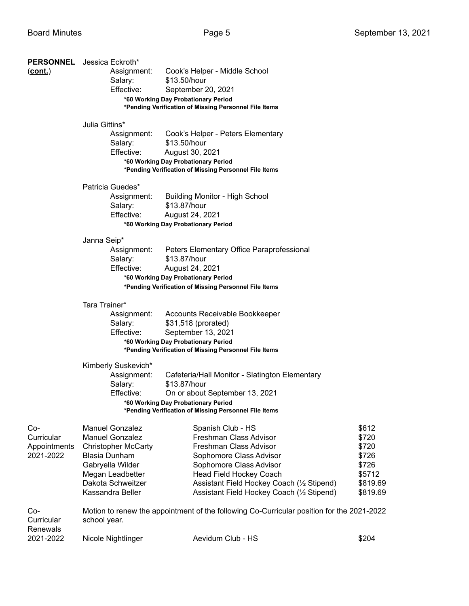| <u>(cont.)</u>                                 | <b>PERSONNEL</b> Jessica Eckroth*<br>Cook's Helper - Middle School<br>Assignment:<br>Salary:<br>\$13.50/hour<br>Effective:<br>September 20, 2021<br>*60 Working Day Probationary Period<br>*Pending Verification of Missing Personnel File Items |                                                                                                                                                                                                                                                           |                                                                             |  |  |
|------------------------------------------------|--------------------------------------------------------------------------------------------------------------------------------------------------------------------------------------------------------------------------------------------------|-----------------------------------------------------------------------------------------------------------------------------------------------------------------------------------------------------------------------------------------------------------|-----------------------------------------------------------------------------|--|--|
|                                                | Julia Gittins*<br>Assignment:<br>Salary:<br>Effective:                                                                                                                                                                                           | Cook's Helper - Peters Elementary<br>\$13.50/hour<br>August 30, 2021                                                                                                                                                                                      |                                                                             |  |  |
|                                                |                                                                                                                                                                                                                                                  | *60 Working Day Probationary Period<br>*Pending Verification of Missing Personnel File Items                                                                                                                                                              |                                                                             |  |  |
|                                                | Patricia Guedes*<br>Assignment:<br>Salary:<br>Effective:                                                                                                                                                                                         | <b>Building Monitor - High School</b><br>\$13.87/hour<br>August 24, 2021<br>*60 Working Day Probationary Period                                                                                                                                           |                                                                             |  |  |
|                                                | Janna Seip*<br>Assignment:<br>Salary:<br>Effective:                                                                                                                                                                                              | Peters Elementary Office Paraprofessional<br>\$13.87/hour<br>August 24, 2021<br>*60 Working Day Probationary Period<br>*Pending Verification of Missing Personnel File Items                                                                              |                                                                             |  |  |
|                                                | Tara Trainer*<br>Assignment:<br>Salary:<br>Effective:                                                                                                                                                                                            | Accounts Receivable Bookkeeper<br>\$31,518 (prorated)<br>September 13, 2021<br>*60 Working Day Probationary Period<br>*Pending Verification of Missing Personnel File Items                                                                               |                                                                             |  |  |
|                                                | Kimberly Suskevich*<br>Assignment:<br>Salary:<br>Effective:                                                                                                                                                                                      | Cafeteria/Hall Monitor - Slatington Elementary<br>\$13.87/hour<br>On or about September 13, 2021<br>*60 Working Day Probationary Period<br>*Pending Verification of Missing Personnel File Items                                                          |                                                                             |  |  |
| Co-<br>Curricular<br>Appointments<br>2021-2022 | <b>Manuel Gonzalez</b><br><b>Manuel Gonzalez</b><br><b>Christopher McCarty</b><br><b>Blasia Dunham</b><br>Gabryella Wilder<br>Megan Leadbetter<br>Dakota Schweitzer<br>Kassandra Beller                                                          | Spanish Club - HS<br>Freshman Class Advisor<br>Freshman Class Advisor<br>Sophomore Class Advisor<br>Sophomore Class Advisor<br><b>Head Field Hockey Coach</b><br>Assistant Field Hockey Coach (1/2 Stipend)<br>Assistant Field Hockey Coach (1/2 Stipend) | \$612<br>\$720<br>\$720<br>\$726<br>\$726<br>\$5712<br>\$819.69<br>\$819.69 |  |  |
| Co-<br>Curricular<br>Renewals                  | school year.                                                                                                                                                                                                                                     | Motion to renew the appointment of the following Co-Curricular position for the 2021-2022                                                                                                                                                                 |                                                                             |  |  |
| 2021-2022                                      | Nicole Nightlinger                                                                                                                                                                                                                               | Aevidum Club - HS                                                                                                                                                                                                                                         | \$204                                                                       |  |  |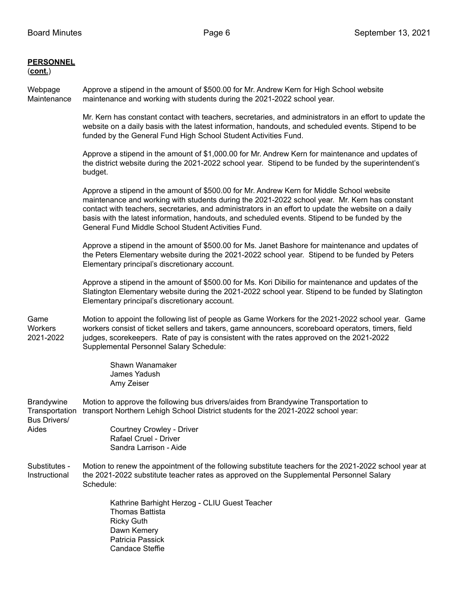#### **PERSONNEL** (**cont.**)

Webpage Approve a stipend in the amount of \$500.00 for Mr. Andrew Kern for High School website Maintenance maintenance and working with students during the 2021-2022 school year.

> Mr. Kern has constant contact with teachers, secretaries, and administrators in an effort to update the website on a daily basis with the latest information, handouts, and scheduled events. Stipend to be funded by the General Fund High School Student Activities Fund.

Approve a stipend in the amount of \$1,000.00 for Mr. Andrew Kern for maintenance and updates of the district website during the 2021-2022 school year. Stipend to be funded by the superintendent's budget.

Approve a stipend in the amount of \$500.00 for Mr. Andrew Kern for Middle School website maintenance and working with students during the 2021-2022 school year. Mr. Kern has constant contact with teachers, secretaries, and administrators in an effort to update the website on a daily basis with the latest information, handouts, and scheduled events. Stipend to be funded by the General Fund Middle School Student Activities Fund.

Approve a stipend in the amount of \$500.00 for Ms. Janet Bashore for maintenance and updates of the Peters Elementary website during the 2021-2022 school year. Stipend to be funded by Peters Elementary principal's discretionary account.

Approve a stipend in the amount of \$500.00 for Ms. Kori Dibilio for maintenance and updates of the Slatington Elementary website during the 2021-2022 school year. Stipend to be funded by Slatington Elementary principal's discretionary account.

Game Motion to appoint the following list of people as Game Workers for the 2021-2022 school year. Game Workers workers consist of ticket sellers and takers, game announcers, scoreboard operators, timers, field 2021-2022 judges, scorekeepers. Rate of pay is consistent with the rates approved on the 2021-2022 Supplemental Personnel Salary Schedule:

> Shawn Wanamaker James Yadush Amy Zeiser

Sandra Larrison - Aide

Brandywine Motion to approve the following bus drivers/aides from Brandywine Transportation to Transportation transport Northern Lehigh School District students for the 2021-2022 school year: Bus Drivers/ Aides **Courtney Crowley - Driver** Rafael Cruel - Driver

Substitutes - Motion to renew the appointment of the following substitute teachers for the 2021-2022 school year at Instructional the 2021-2022 substitute teacher rates as approved on the Supplemental Personnel Salary Schedule:

> Kathrine Barhight Herzog - CLIU Guest Teacher Thomas Battista Ricky Guth Dawn Kemery Patricia Passick Candace Steffie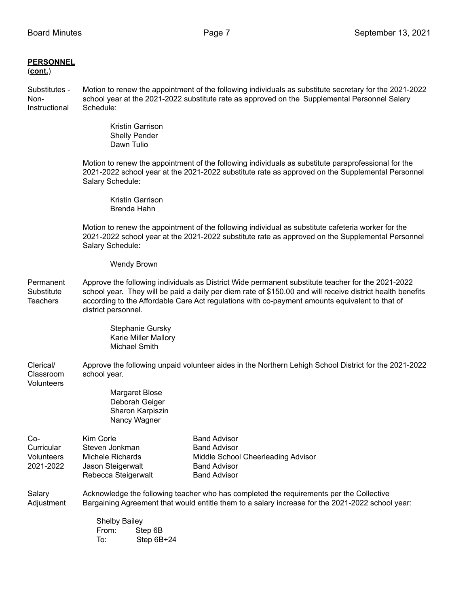# **PERSONNEL**

(**cont.**)

Substitutes - Motion to renew the appointment of the following individuals as substitute secretary for the 2021-2022 Non- school year at the 2021-2022 substitute rate as approved on the Supplemental Personnel Salary Instructional Schedule:

> Kristin Garrison Shelly Pender Dawn Tulio

Motion to renew the appointment of the following individuals as substitute paraprofessional for the 2021-2022 school year at the 2021-2022 substitute rate as approved on the Supplemental Personnel Salary Schedule:

Kristin Garrison Brenda Hahn

Motion to renew the appointment of the following individual as substitute cafeteria worker for the 2021-2022 school year at the 2021-2022 substitute rate as approved on the Supplemental Personnel Salary Schedule:

#### Wendy Brown

Permanent Approve the following individuals as District Wide permanent substitute teacher for the 2021-2022 Substitute school year. They will be paid a daily per diem rate of \$150.00 and will receive district health benefits Teachers according to the Affordable Care Act regulations with co-payment amounts equivalent to that of district personnel.

> Stephanie Gursky Karie Miller Mallory Michael Smith

Clerical/ Approve the following unpaid volunteer aides in the Northern Lehigh School District for the 2021-2022 Classroom school year.

**Volunteers** 

Margaret Blose Deborah Geiger Sharon Karpiszin Nancy Wagner

| Co-        | Kim Corle           | <b>Band Advisor</b>                |
|------------|---------------------|------------------------------------|
| Curricular | Steven Jonkman      | <b>Band Advisor</b>                |
| Volunteers | Michele Richards    | Middle School Cheerleading Advisor |
| 2021-2022  | Jason Steigerwalt   | <b>Band Advisor</b>                |
|            | Rebecca Steigerwalt | <b>Band Advisor</b>                |

Salary **Acknowledge the following teacher who has completed the requirements per the Collective** Adjustment Bargaining Agreement that would entitle them to a salary increase for the 2021-2022 school year:

> Shelby Bailey From: Step 6B To: Step 6B+24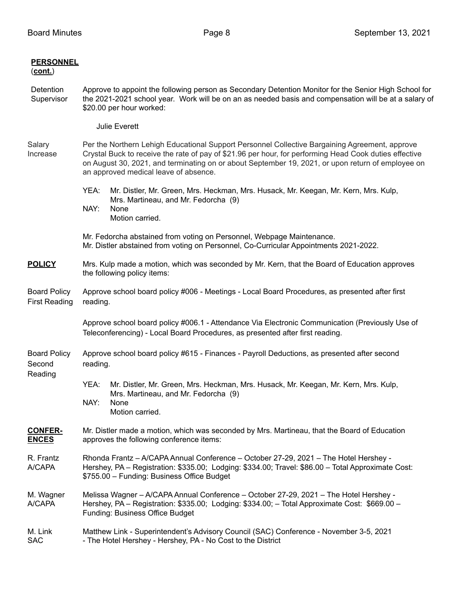| <b>PERSONNEL</b><br>(cont.)                 |                                                                                                                                                                                                                                                                                                                                                        |                                                                                                                                                                                  |  |  |
|---------------------------------------------|--------------------------------------------------------------------------------------------------------------------------------------------------------------------------------------------------------------------------------------------------------------------------------------------------------------------------------------------------------|----------------------------------------------------------------------------------------------------------------------------------------------------------------------------------|--|--|
| Detention<br>Supervisor                     | Approve to appoint the following person as Secondary Detention Monitor for the Senior High School for<br>the 2021-2021 school year. Work will be on an as needed basis and compensation will be at a salary of<br>\$20.00 per hour worked:                                                                                                             |                                                                                                                                                                                  |  |  |
|                                             |                                                                                                                                                                                                                                                                                                                                                        | <b>Julie Everett</b>                                                                                                                                                             |  |  |
| Salary<br>Increase                          | Per the Northern Lehigh Educational Support Personnel Collective Bargaining Agreement, approve<br>Crystal Buck to receive the rate of pay of \$21.96 per hour, for performing Head Cook duties effective<br>on August 30, 2021, and terminating on or about September 19, 2021, or upon return of employee on<br>an approved medical leave of absence. |                                                                                                                                                                                  |  |  |
|                                             | YEA:<br>NAY:                                                                                                                                                                                                                                                                                                                                           | Mr. Distler, Mr. Green, Mrs. Heckman, Mrs. Husack, Mr. Keegan, Mr. Kern, Mrs. Kulp,<br>Mrs. Martineau, and Mr. Fedorcha (9)<br>None<br>Motion carried.                           |  |  |
|                                             |                                                                                                                                                                                                                                                                                                                                                        | Mr. Fedorcha abstained from voting on Personnel, Webpage Maintenance.<br>Mr. Distler abstained from voting on Personnel, Co-Curricular Appointments 2021-2022.                   |  |  |
| <b>POLICY</b>                               | Mrs. Kulp made a motion, which was seconded by Mr. Kern, that the Board of Education approves<br>the following policy items:                                                                                                                                                                                                                           |                                                                                                                                                                                  |  |  |
| <b>Board Policy</b><br><b>First Reading</b> | Approve school board policy #006 - Meetings - Local Board Procedures, as presented after first<br>reading.                                                                                                                                                                                                                                             |                                                                                                                                                                                  |  |  |
|                                             |                                                                                                                                                                                                                                                                                                                                                        | Approve school board policy #006.1 - Attendance Via Electronic Communication (Previously Use of<br>Teleconferencing) - Local Board Procedures, as presented after first reading. |  |  |
| <b>Board Policy</b><br>Second               | Approve school board policy #615 - Finances - Payroll Deductions, as presented after second<br>reading.                                                                                                                                                                                                                                                |                                                                                                                                                                                  |  |  |
| Reading                                     | YEA:<br>NAY:                                                                                                                                                                                                                                                                                                                                           | Mr. Distler, Mr. Green, Mrs. Heckman, Mrs. Husack, Mr. Keegan, Mr. Kern, Mrs. Kulp,<br>Mrs. Martineau, and Mr. Fedorcha (9)<br>None<br>Motion carried.                           |  |  |
| <u>CONFER-</u><br><b>ENCES</b>              | Mr. Distler made a motion, which was seconded by Mrs. Martineau, that the Board of Education<br>approves the following conference items:                                                                                                                                                                                                               |                                                                                                                                                                                  |  |  |
| R. Frantz<br>A/CAPA                         | Rhonda Frantz - A/CAPA Annual Conference - October 27-29, 2021 - The Hotel Hershey -<br>Hershey, PA - Registration: \$335.00; Lodging: \$334.00; Travel: \$86.00 - Total Approximate Cost:<br>\$755.00 - Funding: Business Office Budget                                                                                                               |                                                                                                                                                                                  |  |  |
| M. Wagner<br>A/CAPA                         | Melissa Wagner - A/CAPA Annual Conference - October 27-29, 2021 - The Hotel Hershey -<br>Hershey, PA - Registration: \$335.00; Lodging: \$334.00; - Total Approximate Cost: \$669.00 -<br>Funding: Business Office Budget                                                                                                                              |                                                                                                                                                                                  |  |  |
| M. Link<br><b>SAC</b>                       | Matthew Link - Superintendent's Advisory Council (SAC) Conference - November 3-5, 2021<br>- The Hotel Hershey - Hershey, PA - No Cost to the District                                                                                                                                                                                                  |                                                                                                                                                                                  |  |  |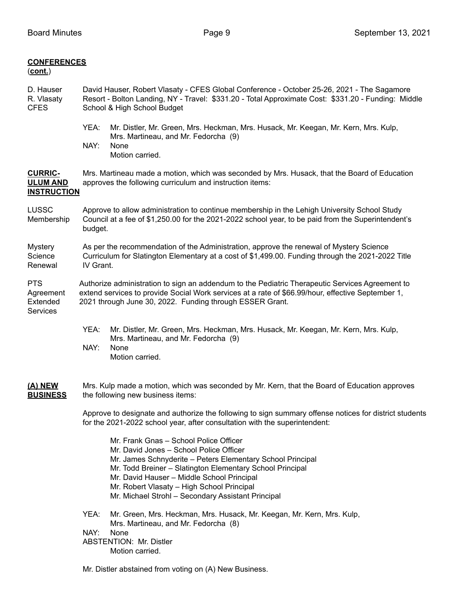| <b>CONFERENCES</b><br>$(cont.)$                                        |                                                                                                                                                                                                                                                                  |                                                                                                                                                                                                                                                                                                                                                                |  |
|------------------------------------------------------------------------|------------------------------------------------------------------------------------------------------------------------------------------------------------------------------------------------------------------------------------------------------------------|----------------------------------------------------------------------------------------------------------------------------------------------------------------------------------------------------------------------------------------------------------------------------------------------------------------------------------------------------------------|--|
| D. Hauser<br>R. Vlasaty<br><b>CFES</b>                                 | David Hauser, Robert Vlasaty - CFES Global Conference - October 25-26, 2021 - The Sagamore<br>Resort - Bolton Landing, NY - Travel: \$331.20 - Total Approximate Cost: \$331.20 - Funding: Middle<br>School & High School Budget                                 |                                                                                                                                                                                                                                                                                                                                                                |  |
|                                                                        | YEA:<br>NAY:<br>None                                                                                                                                                                                                                                             | Mr. Distler, Mr. Green, Mrs. Heckman, Mrs. Husack, Mr. Keegan, Mr. Kern, Mrs. Kulp,<br>Mrs. Martineau, and Mr. Fedorcha (9)<br>Motion carried.                                                                                                                                                                                                                 |  |
| <b>CURRIC-</b><br><b>ULUM AND</b><br><b>INSTRUCTION</b>                | Mrs. Martineau made a motion, which was seconded by Mrs. Husack, that the Board of Education<br>approves the following curriculum and instruction items:                                                                                                         |                                                                                                                                                                                                                                                                                                                                                                |  |
| LUSSC<br>Membership                                                    | Approve to allow administration to continue membership in the Lehigh University School Study<br>Council at a fee of \$1,250.00 for the 2021-2022 school year, to be paid from the Superintendent's<br>budget.                                                    |                                                                                                                                                                                                                                                                                                                                                                |  |
| <b>Mystery</b><br>Science<br>Renewal                                   | As per the recommendation of the Administration, approve the renewal of Mystery Science<br>Curriculum for Slatington Elementary at a cost of \$1,499.00. Funding through the 2021-2022 Title<br>IV Grant.                                                        |                                                                                                                                                                                                                                                                                                                                                                |  |
| <b>PTS</b><br>Agreement<br>Extended<br>Services                        | Authorize administration to sign an addendum to the Pediatric Therapeutic Services Agreement to<br>extend services to provide Social Work services at a rate of \$66.99/hour, effective September 1,<br>2021 through June 30, 2022. Funding through ESSER Grant. |                                                                                                                                                                                                                                                                                                                                                                |  |
|                                                                        | YEA:<br>NAY:<br>None                                                                                                                                                                                                                                             | Mr. Distler, Mr. Green, Mrs. Heckman, Mrs. Husack, Mr. Keegan, Mr. Kern, Mrs. Kulp,<br>Mrs. Martineau, and Mr. Fedorcha (9)<br>Motion carried.                                                                                                                                                                                                                 |  |
| <u>(A) NEW</u><br>the following new business items:<br><b>BUSINESS</b> |                                                                                                                                                                                                                                                                  | Mrs. Kulp made a motion, which was seconded by Mr. Kern, that the Board of Education approves                                                                                                                                                                                                                                                                  |  |
|                                                                        | Approve to designate and authorize the following to sign summary offense notices for district students<br>for the 2021-2022 school year, after consultation with the superintendent:                                                                             |                                                                                                                                                                                                                                                                                                                                                                |  |
|                                                                        |                                                                                                                                                                                                                                                                  | Mr. Frank Gnas - School Police Officer<br>Mr. David Jones - School Police Officer<br>Mr. James Schnyderite - Peters Elementary School Principal<br>Mr. Todd Breiner - Slatington Elementary School Principal<br>Mr. David Hauser - Middle School Principal<br>Mr. Robert Vlasaty - High School Principal<br>Mr. Michael Strohl - Secondary Assistant Principal |  |
|                                                                        | YEA:<br>NAY:<br>None                                                                                                                                                                                                                                             | Mr. Green, Mrs. Heckman, Mrs. Husack, Mr. Keegan, Mr. Kern, Mrs. Kulp,<br>Mrs. Martineau, and Mr. Fedorcha (8)<br><b>ABSTENTION: Mr. Distler</b><br>Motion carried.                                                                                                                                                                                            |  |

Mr. Distler abstained from voting on (A) New Business.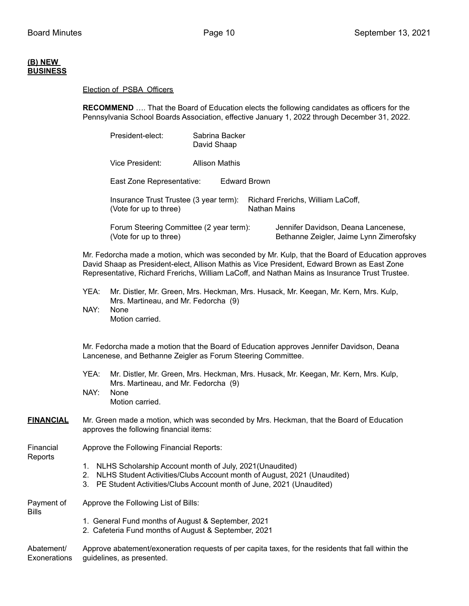### **(B) NEW BUSINESS**

#### Election of PSBA Officers

**RECOMMEND** …. That the Board of Education elects the following candidates as officers for the Pennsylvania School Boards Association, effective January 1, 2022 through December 31, 2022.

| President-elect:                                                  | Sabrina Backer<br>David Shaap |              |                                                                                |
|-------------------------------------------------------------------|-------------------------------|--------------|--------------------------------------------------------------------------------|
| Vice President:                                                   | <b>Allison Mathis</b>         |              |                                                                                |
| East Zone Representative:                                         | Edward Brown                  |              |                                                                                |
| Insurance Trust Trustee (3 year term):<br>(Vote for up to three)  |                               | Nathan Mains | Richard Frerichs, William LaCoff,                                              |
| Forum Steering Committee (2 year term):<br>(Vote for up to three) |                               |              | Jennifer Davidson, Deana Lancenese,<br>Bethanne Zeigler, Jaime Lynn Zimerofsky |

Mr. Fedorcha made a motion, which was seconded by Mr. Kulp, that the Board of Education approves David Shaap as President-elect, Allison Mathis as Vice President, Edward Brown as East Zone Representative, Richard Frerichs, William LaCoff, and Nathan Mains as Insurance Trust Trustee.

- YEA: Mr. Distler, Mr. Green, Mrs. Heckman, Mrs. Husack, Mr. Keegan, Mr. Kern, Mrs. Kulp, Mrs. Martineau, and Mr. Fedorcha (9)
- NAY: None Motion carried.

Mr. Fedorcha made a motion that the Board of Education approves Jennifer Davidson, Deana Lancenese, and Bethanne Zeigler as Forum Steering Committee.

- YEA: Mr. Distler, Mr. Green, Mrs. Heckman, Mrs. Husack, Mr. Keegan, Mr. Kern, Mrs. Kulp, Mrs. Martineau, and Mr. Fedorcha (9)
- NAY: None Motion carried.
- **FINANCIAL** Mr. Green made a motion, which was seconded by Mrs. Heckman, that the Board of Education approves the following financial items:

Financial Approve the Following Financial Reports: Reports

- 1. NLHS Scholarship Account month of July, 2021(Unaudited)
- 2. NLHS Student Activities/Clubs Account month of August, 2021 (Unaudited)
- 3. PE Student Activities/Clubs Account month of June, 2021 (Unaudited)

Payment of Approve the Following List of Bills: Bills

- 1. General Fund months of August & September, 2021
	- 2. Cafeteria Fund months of August & September, 2021

Abatement/ Approve abatement/exoneration requests of per capita taxes, for the residents that fall within the Exonerations guidelines, as presented.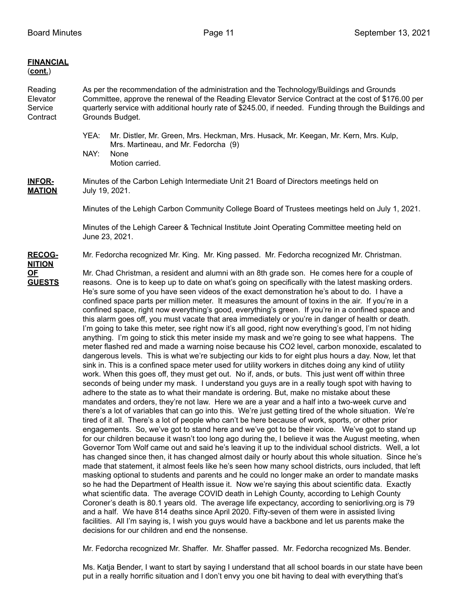| <b>FINANCIAL</b><br>$(cont.)$              |                                                                                                                                                                                                                                                                                                                                                                                                                                                                                                                                                                                                                                                                                                                                                                                                                                                                                                                                                                                                                                                                                                                                                                                                                                                                                                                                                                                                                                                                                                                                                                                                                                                                                                                                                                                                                                                                                                                                                                                                                                                                                                                                                                                                                                                                                                                                                                                                                                                                                                                                                                                                                                                                                                                                                                                                                                                                                                                                              |  |  |  |
|--------------------------------------------|----------------------------------------------------------------------------------------------------------------------------------------------------------------------------------------------------------------------------------------------------------------------------------------------------------------------------------------------------------------------------------------------------------------------------------------------------------------------------------------------------------------------------------------------------------------------------------------------------------------------------------------------------------------------------------------------------------------------------------------------------------------------------------------------------------------------------------------------------------------------------------------------------------------------------------------------------------------------------------------------------------------------------------------------------------------------------------------------------------------------------------------------------------------------------------------------------------------------------------------------------------------------------------------------------------------------------------------------------------------------------------------------------------------------------------------------------------------------------------------------------------------------------------------------------------------------------------------------------------------------------------------------------------------------------------------------------------------------------------------------------------------------------------------------------------------------------------------------------------------------------------------------------------------------------------------------------------------------------------------------------------------------------------------------------------------------------------------------------------------------------------------------------------------------------------------------------------------------------------------------------------------------------------------------------------------------------------------------------------------------------------------------------------------------------------------------------------------------------------------------------------------------------------------------------------------------------------------------------------------------------------------------------------------------------------------------------------------------------------------------------------------------------------------------------------------------------------------------------------------------------------------------------------------------------------------------|--|--|--|
| Reading<br>Elevator<br>Service<br>Contract | As per the recommendation of the administration and the Technology/Buildings and Grounds<br>Committee, approve the renewal of the Reading Elevator Service Contract at the cost of \$176.00 per<br>quarterly service with additional hourly rate of \$245.00, if needed. Funding through the Buildings and<br>Grounds Budget.                                                                                                                                                                                                                                                                                                                                                                                                                                                                                                                                                                                                                                                                                                                                                                                                                                                                                                                                                                                                                                                                                                                                                                                                                                                                                                                                                                                                                                                                                                                                                                                                                                                                                                                                                                                                                                                                                                                                                                                                                                                                                                                                                                                                                                                                                                                                                                                                                                                                                                                                                                                                                |  |  |  |
|                                            | YEA:<br>Mr. Distler, Mr. Green, Mrs. Heckman, Mrs. Husack, Mr. Keegan, Mr. Kern, Mrs. Kulp,<br>Mrs. Martineau, and Mr. Fedorcha (9)<br>NAY:<br>None<br>Motion carried.                                                                                                                                                                                                                                                                                                                                                                                                                                                                                                                                                                                                                                                                                                                                                                                                                                                                                                                                                                                                                                                                                                                                                                                                                                                                                                                                                                                                                                                                                                                                                                                                                                                                                                                                                                                                                                                                                                                                                                                                                                                                                                                                                                                                                                                                                                                                                                                                                                                                                                                                                                                                                                                                                                                                                                       |  |  |  |
| <b>INFOR-</b><br><b>MATION</b>             | Minutes of the Carbon Lehigh Intermediate Unit 21 Board of Directors meetings held on<br>July 19, 2021.                                                                                                                                                                                                                                                                                                                                                                                                                                                                                                                                                                                                                                                                                                                                                                                                                                                                                                                                                                                                                                                                                                                                                                                                                                                                                                                                                                                                                                                                                                                                                                                                                                                                                                                                                                                                                                                                                                                                                                                                                                                                                                                                                                                                                                                                                                                                                                                                                                                                                                                                                                                                                                                                                                                                                                                                                                      |  |  |  |
|                                            | Minutes of the Lehigh Carbon Community College Board of Trustees meetings held on July 1, 2021.                                                                                                                                                                                                                                                                                                                                                                                                                                                                                                                                                                                                                                                                                                                                                                                                                                                                                                                                                                                                                                                                                                                                                                                                                                                                                                                                                                                                                                                                                                                                                                                                                                                                                                                                                                                                                                                                                                                                                                                                                                                                                                                                                                                                                                                                                                                                                                                                                                                                                                                                                                                                                                                                                                                                                                                                                                              |  |  |  |
|                                            | Minutes of the Lehigh Career & Technical Institute Joint Operating Committee meeting held on<br>June 23, 2021.                                                                                                                                                                                                                                                                                                                                                                                                                                                                                                                                                                                                                                                                                                                                                                                                                                                                                                                                                                                                                                                                                                                                                                                                                                                                                                                                                                                                                                                                                                                                                                                                                                                                                                                                                                                                                                                                                                                                                                                                                                                                                                                                                                                                                                                                                                                                                                                                                                                                                                                                                                                                                                                                                                                                                                                                                               |  |  |  |
| <b>RECOG-</b><br><b>NITION</b>             | Mr. Fedorcha recognized Mr. King. Mr. King passed. Mr. Fedorcha recognized Mr. Christman.                                                                                                                                                                                                                                                                                                                                                                                                                                                                                                                                                                                                                                                                                                                                                                                                                                                                                                                                                                                                                                                                                                                                                                                                                                                                                                                                                                                                                                                                                                                                                                                                                                                                                                                                                                                                                                                                                                                                                                                                                                                                                                                                                                                                                                                                                                                                                                                                                                                                                                                                                                                                                                                                                                                                                                                                                                                    |  |  |  |
| <u>OF</u><br><b>GUESTS</b>                 | Mr. Chad Christman, a resident and alumni with an 8th grade son. He comes here for a couple of<br>reasons. One is to keep up to date on what's going on specifically with the latest masking orders.<br>He's sure some of you have seen videos of the exact demonstration he's about to do. I have a<br>confined space parts per million meter. It measures the amount of toxins in the air. If you're in a<br>confined space, right now everything's good, everything's green. If you're in a confined space and<br>this alarm goes off, you must vacate that area immediately or you're in danger of health or death.<br>I'm going to take this meter, see right now it's all good, right now everything's good, I'm not hiding<br>anything. I'm going to stick this meter inside my mask and we're going to see what happens. The<br>meter flashed red and made a warning noise because his CO2 level, carbon monoxide, escalated to<br>dangerous levels. This is what we're subjecting our kids to for eight plus hours a day. Now, let that<br>sink in. This is a confined space meter used for utility workers in ditches doing any kind of utility<br>work. When this goes off, they must get out. No if, ands, or buts. This just went off within three<br>seconds of being under my mask. I understand you guys are in a really tough spot with having to<br>adhere to the state as to what their mandate is ordering. But, make no mistake about these<br>mandates and orders, they're not law. Here we are a year and a half into a two-week curve and<br>there's a lot of variables that can go into this. We're just getting tired of the whole situation. We're<br>tired of it all. There's a lot of people who can't be here because of work, sports, or other prior<br>engagements. So, we've got to stand here and we've got to be their voice. We've got to stand up<br>for our children because it wasn't too long ago during the, I believe it was the August meeting, when<br>Governor Tom Wolf came out and said he's leaving it up to the individual school districts. Well, a lot<br>has changed since then, it has changed almost daily or hourly about this whole situation. Since he's<br>made that statement, it almost feels like he's seen how many school districts, ours included, that left<br>masking optional to students and parents and he could no longer make an order to mandate masks<br>so he had the Department of Health issue it. Now we're saying this about scientific data. Exactly<br>what scientific data. The average COVID death in Lehigh County, according to Lehigh County<br>Coroner's death is 80.1 years old. The average life expectancy, according to seniorliving.org is 79<br>and a half. We have 814 deaths since April 2020. Fifty-seven of them were in assisted living<br>facilities. All I'm saying is, I wish you guys would have a backbone and let us parents make the |  |  |  |

Mr. Fedorcha recognized Mr. Shaffer. Mr. Shaffer passed. Mr. Fedorcha recognized Ms. Bender.

Ms. Katja Bender, I want to start by saying I understand that all school boards in our state have been put in a really horrific situation and I don't envy you one bit having to deal with everything that's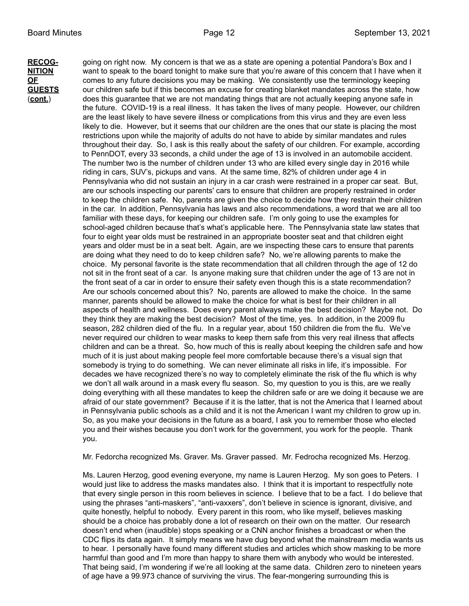**RECOG-** going on right now. My concern is that we as a state are opening a potential Pandora's Box and I **NITION** want to speak to the board tonight to make sure that you're aware of this concern that I have when it **OF** comes to any future decisions you may be making. We consistently use the terminology keeping<br>**GUESTS** our children safe but if this becomes an excuse for creating blanket mandates across the state, ho **GUESTS** our children safe but if this becomes an excuse for creating blanket mandates across the state, how (**cont.**) does this guarantee that we are not mandating things that are not actually keeping anyone safe in the future. COVID-19 is a real illness. It has taken the lives of many people. However, our children are the least likely to have severe illness or complications from this virus and they are even less likely to die. However, but it seems that our children are the ones that our state is placing the most restrictions upon while the majority of adults do not have to abide by similar mandates and rules throughout their day. So, I ask is this really about the safety of our children. For example, according to PennDOT, every 33 seconds, a child under the age of 13 is involved in an automobile accident. The number two is the number of children under 13 who are killed every single day in 2016 while riding in cars, SUV's, pickups and vans. At the same time, 82% of children under age 4 in Pennsylvania who did not sustain an injury in a car crash were restrained in a proper car seat. But, are our schools inspecting our parents' cars to ensure that children are properly restrained in order to keep the children safe. No, parents are given the choice to decide how they restrain their children in the car. In addition, Pennsylvania has laws and also recommendations, a word that we are all too familiar with these days, for keeping our children safe. I'm only going to use the examples for school-aged children because that's what's applicable here. The Pennsylvania state law states that four to eight year olds must be restrained in an appropriate booster seat and that children eight years and older must be in a seat belt. Again, are we inspecting these cars to ensure that parents are doing what they need to do to keep children safe? No, we're allowing parents to make the choice. My personal favorite is the state recommendation that all children through the age of 12 do not sit in the front seat of a car. Is anyone making sure that children under the age of 13 are not in the front seat of a car in order to ensure their safety even though this is a state recommendation? Are our schools concerned about this? No, parents are allowed to make the choice. In the same manner, parents should be allowed to make the choice for what is best for their children in all aspects of health and wellness. Does every parent always make the best decision? Maybe not. Do they think they are making the best decision? Most of the time, yes. In addition, in the 2009 flu season, 282 children died of the flu. In a regular year, about 150 children die from the flu. We've never required our children to wear masks to keep them safe from this very real illness that affects children and can be a threat. So, how much of this is really about keeping the children safe and how much of it is just about making people feel more comfortable because there's a visual sign that somebody is trying to do something. We can never eliminate all risks in life, it's impossible. For decades we have recognized there's no way to completely eliminate the risk of the flu which is why we don't all walk around in a mask every flu season. So, my question to you is this, are we really doing everything with all these mandates to keep the children safe or are we doing it because we are afraid of our state government? Because if it is the latter, that is not the America that I learned about in Pennsylvania public schools as a child and it is not the American I want my children to grow up in. So, as you make your decisions in the future as a board, I ask you to remember those who elected you and their wishes because you don't work for the government, you work for the people. Thank you.

Mr. Fedorcha recognized Ms. Graver. Ms. Graver passed. Mr. Fedrocha recognized Ms. Herzog.

Ms. Lauren Herzog, good evening everyone, my name is Lauren Herzog. My son goes to Peters. I would just like to address the masks mandates also. I think that it is important to respectfully note that every single person in this room believes in science. I believe that to be a fact. I do believe that using the phrases "anti-maskers", "anti-vaxxers", don't believe in science is ignorant, divisive, and quite honestly, helpful to nobody. Every parent in this room, who like myself, believes masking should be a choice has probably done a lot of research on their own on the matter. Our research doesn't end when (inaudible) stops speaking or a CNN anchor finishes a broadcast or when the CDC flips its data again. It simply means we have dug beyond what the mainstream media wants us to hear. I personally have found many different studies and articles which show masking to be more harmful than good and I'm more than happy to share them with anybody who would be interested. That being said, I'm wondering if we're all looking at the same data. Children zero to nineteen years of age have a 99.973 chance of surviving the virus. The fear-mongering surrounding this is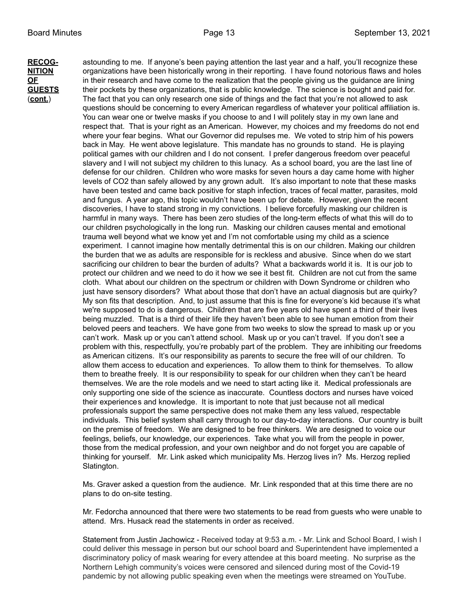**RECOG-** astounding to me. If anyone's been paying attention the last year and a half, you'll recognize these **NITION** organizations have been historically wrong in their reporting. I have found notorious flaws and holes **OF** in their research and have come to the realization that the people giving us the guidance are lining<br>**GUESTS** their pockets by these organizations, that is public knowledge. The science is bought and paid for. **GUESTS** their pockets by these organizations, that is public knowledge. The science is bought and paid for. (**cont.**) The fact that you can only research one side of things and the fact that you're not allowed to ask questions should be concerning to every American regardless of whatever your political affiliation is. You can wear one or twelve masks if you choose to and I will politely stay in my own lane and respect that. That is your right as an American. However, my choices and my freedoms do not end where your fear begins. What our Governor did repulses me. We voted to strip him of his powers back in May. He went above legislature. This mandate has no grounds to stand. He is playing political games with our children and I do not consent. I prefer dangerous freedom over peaceful slavery and I will not subject my children to this lunacy. As a school board, you are the last line of defense for our children. Children who wore masks for seven hours a day came home with higher levels of CO2 than safely allowed by any grown adult. It's also important to note that these masks have been tested and came back positive for staph infection, traces of fecal matter, parasites, mold and fungus. A year ago, this topic wouldn't have been up for debate. However, given the recent discoveries, I have to stand strong in my convictions. I believe forcefully masking our children is harmful in many ways. There has been zero studies of the long-term effects of what this will do to our children psychologically in the long run. Masking our children causes mental and emotional trauma well beyond what we know yet and I'm not comfortable using my child as a science experiment. I cannot imagine how mentally detrimental this is on our children. Making our children the burden that we as adults are responsible for is reckless and abusive. Since when do we start sacrificing our children to bear the burden of adults? What a backwards world it is. It is our job to protect our children and we need to do it how we see it best fit. Children are not cut from the same cloth. What about our children on the spectrum or children with Down Syndrome or children who just have sensory disorders? What about those that don't have an actual diagnosis but are quirky? My son fits that description. And, to just assume that this is fine for everyone's kid because it's what we're supposed to do is dangerous. Children that are five years old have spent a third of their lives being muzzled. That is a third of their life they haven't been able to see human emotion from their beloved peers and teachers. We have gone from two weeks to slow the spread to mask up or you can't work. Mask up or you can't attend school. Mask up or you can't travel. If you don't see a problem with this, respectfully, you're probably part of the problem. They are inhibiting our freedoms as American citizens. It's our responsibility as parents to secure the free will of our children. To allow them access to education and experiences. To allow them to think for themselves. To allow them to breathe freely. It is our responsibility to speak for our children when they can't be heard themselves. We are the role models and we need to start acting like it. Medical professionals are only supporting one side of the science as inaccurate. Countless doctors and nurses have voiced their experiences and knowledge. It is important to note that just because not all medical professionals support the same perspective does not make them any less valued, respectable individuals. This belief system shall carry through to our day-to-day interactions. Our country is built on the premise of freedom. We are designed to be free thinkers. We are designed to voice our feelings, beliefs, our knowledge, our experiences. Take what you will from the people in power, those from the medical profession, and your own neighbor and do not forget you are capable of thinking for yourself. Mr. Link asked which municipality Ms. Herzog lives in? Ms. Herzog replied Slatington.

> Ms. Graver asked a question from the audience. Mr. Link responded that at this time there are no plans to do on-site testing.

Mr. Fedorcha announced that there were two statements to be read from guests who were unable to attend. Mrs. Husack read the statements in order as received.

Statement from Justin Jachowicz - Received today at 9:53 a.m. - Mr. Link and School Board, I wish I could deliver this message in person but our school board and Superintendent have implemented a discriminatory policy of mask wearing for every attendee at this board meeting. No surprise as the Northern Lehigh community's voices were censored and silenced during most of the Covid-19 pandemic by not allowing public speaking even when the meetings were streamed on YouTube.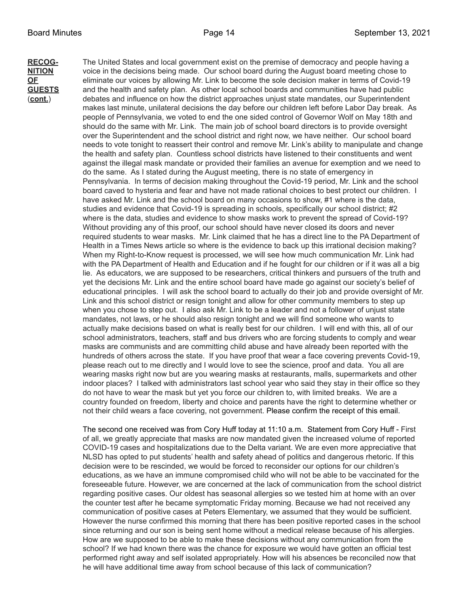**RECOG-** The United States and local government exist on the premise of democracy and people having a<br>**NITION** voice in the decisions being made. Our school board during the August board meeting chose to voice in the decisions being made. Our school board during the August board meeting chose to **OF** eliminate our voices by allowing Mr. Link to become the sole decision maker in terms of Covid-19<br>**GUESTS** and the health and safety plan. As other local school boards and communities have had public and the health and safety plan. As other local school boards and communities have had public (**cont.**) debates and influence on how the district approaches unjust state mandates, our Superintendent makes last minute, unilateral decisions the day before our children left before Labor Day break. As people of Pennsylvania, we voted to end the one sided control of Governor Wolf on May 18th and should do the same with Mr. Link. The main job of school board directors is to provide oversight over the Superintendent and the school district and right now, we have neither. Our school board needs to vote tonight to reassert their control and remove Mr. Link's ability to manipulate and change the health and safety plan. Countless school districts have listened to their constituents and went against the illegal mask mandate or provided their families an avenue for exemption and we need to do the same. As I stated during the August meeting, there is no state of emergency in Pennsylvania. In terms of decision making throughout the Covid-19 period, Mr. Link and the school board caved to hysteria and fear and have not made rational choices to best protect our children. I have asked Mr. Link and the school board on many occasions to show, #1 where is the data, studies and evidence that Covid-19 is spreading in schools, specifically our school district; #2 where is the data, studies and evidence to show masks work to prevent the spread of Covid-19? Without providing any of this proof, our school should have never closed its doors and never required students to wear masks. Mr. Link claimed that he has a direct line to the PA Department of Health in a Times News article so where is the evidence to back up this irrational decision making? When my Right-to-Know request is processed, we will see how much communication Mr. Link had with the PA Department of Health and Education and if he fought for our children or if it was all a big lie. As educators, we are supposed to be researchers, critical thinkers and pursuers of the truth and yet the decisions Mr. Link and the entire school board have made go against our society's belief of educational principles. I will ask the school board to actually do their job and provide oversight of Mr. Link and this school district or resign tonight and allow for other community members to step up when you chose to step out. I also ask Mr. Link to be a leader and not a follower of unjust state mandates, not laws, or he should also resign tonight and we will find someone who wants to actually make decisions based on what is really best for our children. I will end with this, all of our school administrators, teachers, staff and bus drivers who are forcing students to comply and wear masks are communists and are committing child abuse and have already been reported with the hundreds of others across the state. If you have proof that wear a face covering prevents Covid-19, please reach out to me directly and I would love to see the science, proof and data. You all are wearing masks right now but are you wearing masks at restaurants, malls, supermarkets and other indoor places? I talked with administrators last school year who said they stay in their office so they do not have to wear the mask but yet you force our children to, with limited breaks. We are a country founded on freedom, liberty and choice and parents have the right to determine whether or not their child wears a face covering, not government. Please confirm the receipt of this email.

> The second one received was from Cory Huff today at 11:10 a.m. Statement from Cory Huff - First of all, we greatly appreciate that masks are now mandated given the increased volume of reported COVID-19 cases and hospitalizations due to the Delta variant. We are even more appreciative that NLSD has opted to put students' health and safety ahead of politics and dangerous rhetoric. If this decision were to be rescinded, we would be forced to reconsider our options for our children's educations, as we have an immune compromised child who will not be able to be vaccinated for the foreseeable future. However, we are concerned at the lack of communication from the school district regarding positive cases. Our oldest has seasonal allergies so we tested him at home with an over the counter test after he became symptomatic Friday morning. Because we had not received any communication of positive cases at Peters Elementary, we assumed that they would be sufficient. However the nurse confirmed this morning that there has been positive reported cases in the school since returning and our son is being sent home without a medical release because of his allergies. How are we supposed to be able to make these decisions without any communication from the school? If we had known there was the chance for exposure we would have gotten an official test performed right away and self isolated appropriately. How will his absences be reconciled now that he will have additional time away from school because of this lack of communication?